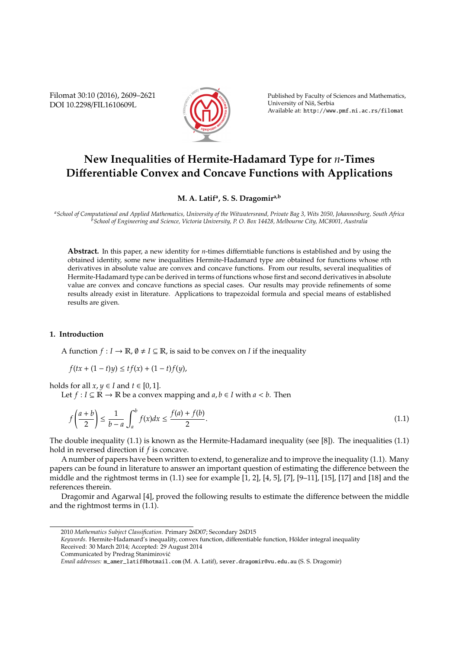Filomat 30:10 (2016), 2609–2621 DOI 10.2298/FIL1610609L



Published by Faculty of Sciences and Mathematics, University of Nis, Serbia ˇ Available at: http://www.pmf.ni.ac.rs/filomat

# **New Inequalities of Hermite-Hadamard Type for** *n***-Times Di**ff**erentiable Convex and Concave Functions with Applications**

## **M. A. Latif<sup>a</sup> , S. S. Dragomira,b**

*<sup>a</sup>School of Computational and Applied Mathematics, University of the Witwatersrand, Private Bag 3, Wits 2050, Johannesburg, South Africa <sup>b</sup>School of Engineering and Science, Victoria University, P. O. Box 14428, Melbourne City, MC8001, Australia*

**Abstract.** In this paper, a new identity for *n*-times differntiable functions is established and by using the obtained identity, some new inequalities Hermite-Hadamard type are obtained for functions whose *n*th derivatives in absolute value are convex and concave functions. From our results, several inequalities of Hermite-Hadamard type can be derived in terms of functions whose first and second derivatives in absolute value are convex and concave functions as special cases. Our results may provide refinements of some results already exist in literature. Applications to trapezoidal formula and special means of established results are given.

## **1. Introduction**

A function  $f: I \to \mathbb{R}, \emptyset \neq I \subseteq \mathbb{R}$ , is said to be convex on *I* if the inequality

$$
f(tx + (1-t)y) \le tf(x) + (1-t)f(y),
$$

holds for all  $x, y \in I$  and  $t \in [0, 1]$ .

Let *f* : *I* ⊆ ℝ → ℝ be a convex mapping and *a*, *b* ∈ *I* with *a* < *b*. Then

$$
f\left(\frac{a+b}{2}\right) \le \frac{1}{b-a} \int_a^b f(x)dx \le \frac{f(a)+f(b)}{2}.\tag{1.1}
$$

The double inequality (1.1) is known as the Hermite-Hadamard inequality (see [8]). The inequalities (1.1) hold in reversed direction if *f* is concave.

A number of papers have been written to extend, to generalize and to improve the inequality (1.1). Many papers can be found in literature to answer an important question of estimating the difference between the middle and the rightmost terms in (1.1) see for example [1, 2], [4, 5], [7], [9–11], [15], [17] and [18] and the references therein.

Dragomir and Agarwal [4], proved the following results to estimate the difference between the middle and the rightmost terms in (1.1).

<sup>2010</sup> *Mathematics Subject Classification*. Primary 26D07; Secondary 26D15

*Keywords*. Hermite-Hadamard's inequality, convex function, differentiable function, Holder integral inequality ¨ Received: 30 March 2014; Accepted: 29 August 2014

Communicated by Predrag Stanimirovic´

*Email addresses:* m\_amer\_latif@hotmail.com (M. A. Latif), sever.dragomir@vu.edu.au (S. S. Dragomir)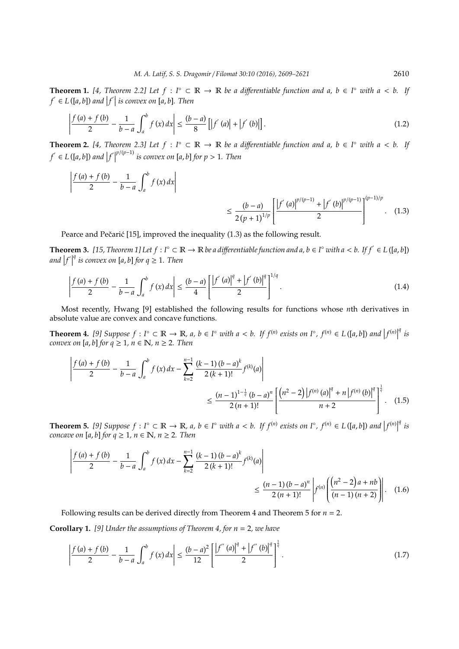**Theorem 1.** [4, Theorem 2.2] Let  $f : \Gamma^{\circ} \subset \mathbb{R} \to \mathbb{R}$  be a differentiable function and a,  $b \in \Gamma^{\circ}$  with  $a < b$ . If  $f' \in L([a, b])$  and  $|f'|$  is convex on  $[a, b]$ . Then

$$
\left| \frac{f(a) + f(b)}{2} - \frac{1}{b - a} \int_{a}^{b} f(x) dx \right| \le \frac{(b - a)}{8} \left[ \left| f'(a) \right| + \left| f'(b) \right| \right].
$$
\n(1.2)

**Theorem 2.** [4, Theorem 2.3] Let  $f : I^{\circ} \subset \mathbb{R} \to \mathbb{R}$  be a differentiable function and a,  $b \in I^{\circ}$  with  $a < b$ . If  $f' \in L([a, b])$  and  $|f'|^{p/(p-1)}$  is convex on [a, b] for  $p > 1$ . Then

$$
\left| \frac{f(a) + f(b)}{2} - \frac{1}{b - a} \int_{a}^{b} f(x) dx \right| \le \frac{(b - a)}{2(p + 1)^{1/p}} \left[ \frac{|f'(a)|^{p/(p-1)} + |f'(b)|^{p/(p-1)}}{2} \right]^{(p-1)/p} . \tag{1.3}
$$

Pearce and Pečarić  $[15]$ , improved the inequality  $(1.3)$  as the following result.

**Theorem 3.** [15, Theorem 1] Let  $f: I^{\circ} \subset \mathbb{R} \to \mathbb{R}$  be a differentiable function and a, b ∈  $I^{\circ}$  with a < b. If  $f' \in L([a, b])$ and  $|f|$  $q$ <sup>*i*</sup> *is convex on* [*a*, *b*] *for*  $q \ge 1$ *. Then* 

$$
\left| \frac{f(a) + f(b)}{2} - \frac{1}{b - a} \int_{a}^{b} f(x) dx \right| \le \frac{(b - a)}{4} \left[ \frac{\left| f'(a) \right|^q + \left| f'(b) \right|^q}{2} \right]^{1/q} . \tag{1.4}
$$

Most recently, Hwang [9] established the following results for functions whose *n*th derivatives in absolute value are convex and concave functions.

**Theorem 4.** [9] Suppose  $f: I^{\circ} \subset \mathbb{R} \to \mathbb{R}$ ,  $a, b \in I^{\circ}$  with  $a < b$ . If  $f^{(n)}$  exists on  $I^{\circ}$ ,  $f^{(n)} \in L([a, b])$  and  $|f^{(n)}|$ *q is convex on* [a, b] for  $q \ge 1$ ,  $n \in \mathbb{N}$ ,  $n \ge 2$ . Then

$$
\left| \frac{f(a) + f(b)}{2} - \frac{1}{b-a} \int_{a}^{b} f(x) dx - \sum_{k=2}^{n-1} \frac{(k-1)(b-a)^{k}}{2(k+1)!} f^{(k)}(a) \right|
$$
  

$$
\leq \frac{(n-1)^{1-\frac{1}{q}} (b-a)^{n}}{2(n+1)!} \left[ \frac{(n^{2}-2) |f^{(n)}(a)|^{q} + n |f^{(n)}(b)|^{q}}{n+2} \right]^{\frac{1}{q}}.
$$
 (1.5)

**Theorem 5.** [9] Suppose  $f: I^{\circ} \subset \mathbb{R} \to \mathbb{R}$ ,  $a, b \in I^{\circ}$  with  $a < b$ . If  $f^{(n)}$  exists on  $I^{\circ}$ ,  $f^{(n)} \in L([a, b])$  and  $|f^{(n)}|$ *q is concave on* [ $a$ ,  $b$ ] *for*  $q \ge 1$ ,  $n \in \mathbb{N}$ ,  $n \ge 2$ . Then

$$
\left| \frac{f(a) + f(b)}{2} - \frac{1}{b - a} \int_{a}^{b} f(x) dx - \sum_{k=2}^{n-1} \frac{(k-1)(b-a)^{k}}{2(k+1)!} f^{(k)}(a) \right| \le \frac{(n-1)(b-a)^{n}}{2(n+1)!} \left| f^{(n)} \left( \frac{(n^{2} - 2)a + nb}{(n-1)(n+2)} \right) \right|.
$$
 (1.6)

Following results can be derived directly from Theorem 4 and Theorem 5 for *n* = 2.

**Corollary 1.** *[9] Under the assumptions of Theorem 4, for n* = 2*, we have*

$$
\left| \frac{f(a) + f(b)}{2} - \frac{1}{b - a} \int_{a}^{b} f(x) dx \right| \le \frac{(b - a)^2}{12} \left[ \frac{\left| f''(a) \right|^q + \left| f''(b) \right|^q}{2} \right]^{\frac{1}{q}}.
$$
\n(1.7)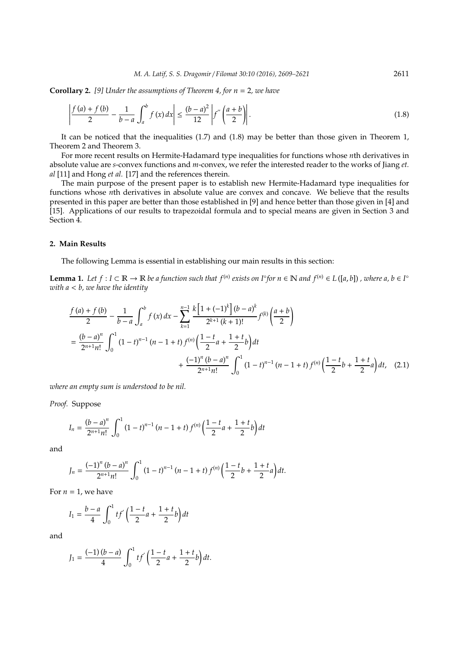**Corollary 2.** *[9] Under the assumptions of Theorem 4, for n* = 2*, we have*

$$
\left| \frac{f(a) + f(b)}{2} - \frac{1}{b - a} \int_{a}^{b} f(x) dx \right| \le \frac{(b - a)^2}{12} \left| f''\left(\frac{a + b}{2}\right) \right|.
$$
 (1.8)

It can be noticed that the inequalities (1.7) and (1.8) may be better than those given in Theorem 1, Theorem 2 and Theorem 3.

For more recent results on Hermite-Hadamard type inequalities for functions whose *n*th derivatives in absolute value are *s*-convex functions and *m*-convex, we refer the interested reader to the works of Jiang *et. al* [11] and Hong *et al.* [17] and the references therein.

The main purpose of the present paper is to establish new Hermite-Hadamard type inequalities for functions whose *n*th derivatives in absolute value are convex and concave. We believe that the results presented in this paper are better than those established in [9] and hence better than those given in [4] and [15]. Applications of our results to trapezoidal formula and to special means are given in Section 3 and Section 4.

#### **2. Main Results**

The following Lemma is essential in establishing our main results in this section:

**Lemma 1.** Let  $f: I \subset \mathbb{R} \to \mathbb{R}$  be a function such that  $f^{(n)}$  exists on  $I^{\circ}$  for  $n \in \mathbb{N}$  and  $f^{(n)} \in L([a, b])$  , where a,  $b \in I^{\circ}$ *with a* < *b, we have the identity*

$$
\frac{f(a) + f(b)}{2} - \frac{1}{b-a} \int_{a}^{b} f(x) dx - \sum_{k=1}^{n-1} \frac{k[1 + (-1)^{k}](b-a)^{k}}{2^{k+1}(k+1)!} f^{(k)}\left(\frac{a+b}{2}\right)
$$
\n
$$
= \frac{(b-a)^{n}}{2^{n+1}n!} \int_{0}^{1} (1-t)^{n-1} (n-1+t) f^{(n)}\left(\frac{1-t}{2}a + \frac{1+t}{2}b\right) dt + \frac{(-1)^{n}(b-a)^{n}}{2^{n+1}n!} \int_{0}^{1} (1-t)^{n-1} (n-1+t) f^{(n)}\left(\frac{1-t}{2}b + \frac{1+t}{2}a\right) dt, \quad (2.1)
$$

*where an empty sum is understood to be nil.*

*Proof.* Suppose

$$
I_n = \frac{(b-a)^n}{2^{n+1}n!} \int_0^1 (1-t)^{n-1} (n-1+t) f^{(n)} \left(\frac{1-t}{2}a + \frac{1+t}{2}b\right) dt
$$

and

$$
J_n = \frac{(-1)^n (b-a)^n}{2^{n+1} n!} \int_0^1 (1-t)^{n-1} (n-1+t) f^{(n)}\left(\frac{1-t}{2}b + \frac{1+t}{2}a\right) dt.
$$

For  $n = 1$ , we have

$$
I_1 = \frac{b-a}{4} \int_0^1 t f' \left( \frac{1-t}{2} a + \frac{1+t}{2} b \right) dt
$$

and

$$
J_1 = \frac{(-1)(b-a)}{4} \int_0^1 t f'\left(\frac{1-t}{2}a + \frac{1+t}{2}b\right) dt.
$$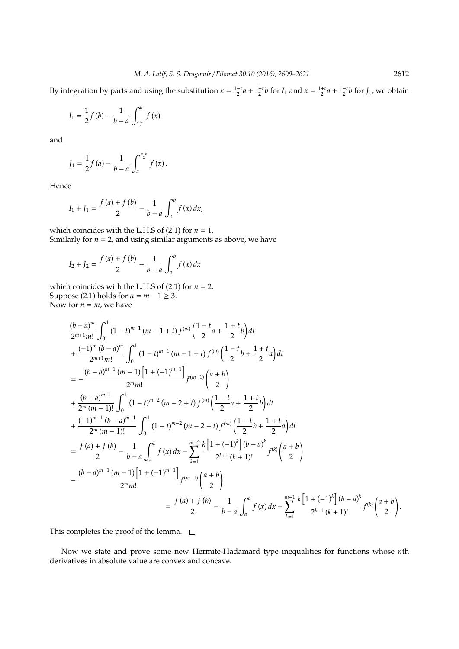By integration by parts and using the substitution  $x = \frac{1-t}{2}a + \frac{1+t}{2}b$  for  $I_1$  and  $x = \frac{1+t}{2}a + \frac{1-t}{2}b$  for  $J_1$ , we obtain

$$
I_1 = \frac{1}{2}f(b) - \frac{1}{b-a} \int_{\frac{a+b}{2}}^{b} f(x)
$$

and

$$
J_1 = \frac{1}{2} f(a) - \frac{1}{b-a} \int_a^{\frac{a+b}{2}} f(x) \, dx.
$$

Hence

$$
I_1 + J_1 = \frac{f(a) + f(b)}{2} - \frac{1}{b-a} \int_a^b f(x) \, dx,
$$

which coincides with the L.H.S of  $(2.1)$  for  $n = 1$ . Similarly for  $n = 2$ , and using similar arguments as above, we have

$$
I_2 + J_2 = \frac{f(a) + f(b)}{2} - \frac{1}{b-a} \int_a^b f(x) \, dx
$$

which coincides with the L.H.S of  $(2.1)$  for  $n = 2$ . Suppose (2.1) holds for  $n = m - 1 \ge 3$ . Now for  $n = m$ , we have

$$
\frac{(b-a)^m}{2^{m+1}m!} \int_0^1 (1-t)^{m-1} (m-1+t) f^{(m)} \left( \frac{1-t}{2} a + \frac{1+t}{2} b \right) dt \n+ \frac{(-1)^m (b-a)^m}{2^{m+1}m!} \int_0^1 (1-t)^{m-1} (m-1+t) f^{(m)} \left( \frac{1-t}{2} b + \frac{1+t}{2} a \right) dt \n= \frac{(b-a)^{m-1} (m-1) [1+(-1)^{m-1}]}{2^m m!} f^{(m-1)} \left( \frac{a+b}{2} \right) \n+ \frac{(b-a)^{m-1} (b-a)^{m-1}}{2^m (m-1)!} \int_0^1 (1-t)^{m-2} (m-2+t) f^{(m)} \left( \frac{1-t}{2} a + \frac{1+t}{2} b \right) dt \n+ \frac{(-1)^{m-1} (b-a)^{m-1}}{2^m (m-1)!} \int_0^1 (1-t)^{m-2} (m-2+t) f^{(m)} \left( \frac{1-t}{2} b + \frac{1+t}{2} a \right) dt \n= \frac{f(a)+f(b)}{2} - \frac{1}{b-a} \int_a^b f(x) dx - \sum_{k=1}^{m-2} \frac{k [1+(-1)^k] (b-a)^k}{2^{k+1} (k+1)!} f^{(k)} \left( \frac{a+b}{2} \right) \n- \frac{(b-a)^{m-1} (m-1) [1+(-1)^{m-1}]}{2^m m!} f^{(m-1)} \left( \frac{a+b}{2} \right) \n= \frac{f(a)+f(b)}{2} - \frac{1}{b-a} \int_a^b f(x) dx - \sum_{k=1}^{m-1} \frac{k [1+(-1)^k] (b-a)^k}{2^{k+1} (k+1)!} f^{(k)} \left( \frac{a+b}{2} \right)
$$

This completes the proof of the lemma.  $\Box$ 

Now we state and prove some new Hermite-Hadamard type inequalities for functions whose *n*th derivatives in absolute value are convex and concave.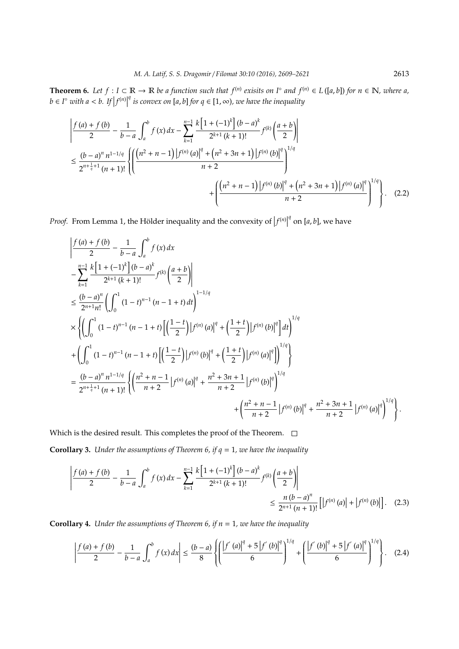**Theorem 6.** Let  $f: I \subset \mathbb{R} \to \mathbb{R}$  be a function such that  $f^{(n)}$  exisits on  $I^{\circ}$  and  $f^{(n)} \in L([a, b])$  for  $n \in \mathbb{N}$ , where a,  $b \in I^{\circ}$  *with*  $a < b$ . If  $|f^{(n)}|$ *q* is convex on [*a*, *b*] *for q* ∈ [1, ∞), we have the inequality

$$
\left| \frac{f(a) + f(b)}{2} - \frac{1}{b-a} \int_{a}^{b} f(x) dx - \sum_{k=1}^{n-1} \frac{k \left[ 1 + (-1)^{k} \right] (b-a)^{k}}{2^{k+1} (k+1)!} f^{(k)} \left( \frac{a+b}{2} \right) \right|
$$
  

$$
\leq \frac{(b-a)^{n} n^{1-1/q}}{2^{n+\frac{1}{q}+1} (n+1)!} \left\{ \left( \frac{\left( n^{2} + n - 1 \right) \left| f^{(n)}(a) \right|^{q} + \left( n^{2} + 3n + 1 \right) \left| f^{(n)}(b) \right|^{q}}{n+2} \right)^{1/q} + \left( \frac{\left( n^{2} + n - 1 \right) \left| f^{(n)}(b) \right|^{q} + \left( n^{2} + 3n + 1 \right) \left| f^{(n)}(a) \right|^{q}}{n+2} \right)^{1/q} \right\}.
$$
 (2.2)

*Proof.* From Lemma 1, the Hölder inequality and the convexity of  $|f^{(n)}|$  $q$ <sup> $q$ </sup> on [a, b], we have

$$
\begin{split}\n&\left|\frac{f(a)+f(b)}{2}-\frac{1}{b-a}\int_{a}^{b}f(x)dx\right.\\&\left. -\sum_{k=1}^{n-1}\frac{k\left[1+(-1)^{k}\right](b-a)^{k}}{2^{k+1}(k+1)!}f^{(k)}\left(\frac{a+b}{2}\right)\right| \\
&\leq \frac{(b-a)^{n}}{2^{n+1}n!}\left(\int_{0}^{1}(1-t)^{n-1}(n-1+t)dt\right)^{1-1/q} \\
&\times\left\{\left(\int_{0}^{1}(1-t)^{n-1}(n-1+t)\left[\left(\frac{1-t}{2}\right)|f^{(n)}(a)|^{q}+\left(\frac{1+t}{2}\right)|f^{(n)}(b)|^{q}\right]dt\right\}^{1/q}\right\} \\
&+\left(\int_{0}^{1}(1-t)^{n-1}(n-1+t)\left[\left(\frac{1-t}{2}\right)|f^{(n)}(b)|^{q}+\left(\frac{1+t}{2}\right)|f^{(n)}(a)|^{q}\right]\right]^{1/q}\right\} \\
&=\frac{(b-a)^{n}n^{1-1/q}}{2^{n+\frac{1}{q}+1}(n+1)!}\left\{\left(\frac{n^{2}+n-1}{n+2}|f^{(n)}(a)|^{q}+\frac{n^{2}+3n+1}{n+2}|f^{(n)}(b)|^{q}\right)^{1/q} \\
&+\left(\frac{n^{2}+n-1}{n+2}|f^{(n)}(b)|^{q}+\frac{n^{2}+3n+1}{n+2}|f^{(n)}(a)|^{q}\right)^{1/q}\right\}.\n\end{split}
$$

Which is the desired result. This completes the proof of the Theorem.  $\Box$ 

**Corollary 3.** *Under the assumptions of Theorem 6, if*  $q = 1$ *, we have the inequality* 

$$
\left| \frac{f(a) + f(b)}{2} - \frac{1}{b - a} \int_{a}^{b} f(x) dx - \sum_{k=1}^{n-1} \frac{k \left[ 1 + (-1)^{k} \right] (b - a)^{k}}{2^{k+1} (k+1)!} f^{(k)} \left( \frac{a + b}{2} \right) \right|
$$
  
\$\leq \frac{n (b - a)^{n}}{2^{n+1} (n+1)!} \left[ \left| f^{(n)} (a) \right| + \left| f^{(n)} (b) \right| \right]. (2.3)

**Corollary 4.** *Under the assumptions of Theorem 6, if*  $n = 1$ *, we have the inequality* 

$$
\left|\frac{f(a) + f(b)}{2} - \frac{1}{b-a}\int_{a}^{b} f(x) dx\right| \leq \frac{(b-a)}{8} \left\{ \left|\frac{\left|f'(a)\right|^q + 5\left|f'(b)\right|^q}{6}\right|^{1/q} + \left|\frac{\left|f'(b)\right|^q + 5\left|f'(a)\right|^q}{6}\right|^{1/q} \right\}.
$$
 (2.4)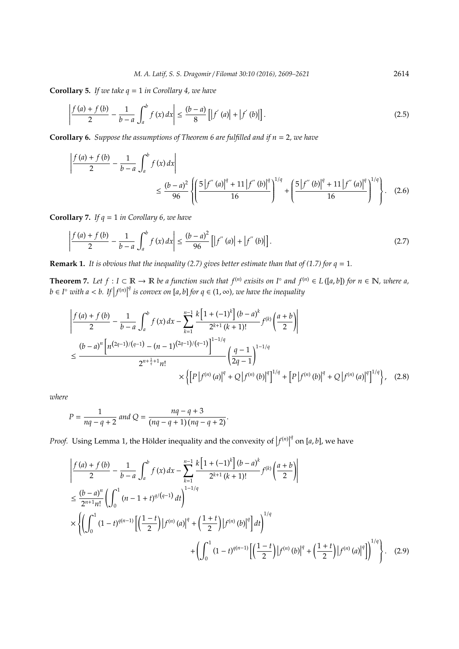**Corollary 5.** *If we take q* = 1 *in Corollary 4, we have*

$$
\left| \frac{f(a) + f(b)}{2} - \frac{1}{b - a} \int_{a}^{b} f(x) dx \right| \le \frac{(b - a)}{8} \left[ \left| f'(a) \right| + \left| f'(b) \right| \right].
$$
\n(2.5)

**Corollary 6.** *Suppose the assumptions of Theorem 6 are fulfilled and if n* = 2*, we have*

$$
\left| \frac{f(a) + f(b)}{2} - \frac{1}{b - a} \int_{a}^{b} f(x) dx \right|
$$
  
\n
$$
\leq \frac{(b - a)^2}{96} \left\{ \left( \frac{5 \left| f''(a) \right|^q + 11 \left| f''(b) \right|^q \right|^{1/q}}{16} + \left( \frac{5 \left| f''(b) \right|^q + 11 \left| f''(a) \right|^q \right|^{1/q}}{16} \right\}. \tag{2.6}
$$

**Corollary 7.** *If q* = 1 *in Corollary 6, we have*

$$
\left| \frac{f(a) + f(b)}{2} - \frac{1}{b - a} \int_{a}^{b} f(x) dx \right| \le \frac{(b - a)^2}{96} \left[ \left| f^{(0)}(a) \right| + \left| f^{(0)}(b) \right| \right].
$$
\n(2.7)

**Remark 1.** It is obvious that the inequality (2.7) gives better estimate than that of (1.7) for  $q = 1$ .

**Theorem 7.** Let  $f: I \subset \mathbb{R} \to \mathbb{R}$  be a function such that  $f^{(n)}$  exisits on  $I^{\circ}$  and  $f^{(n)} \in L([a, b])$  for  $n \in \mathbb{N}$ , where a,  $b \in I^{\circ}$  *with*  $a < b$ . If  $|f^{(n)}|$ *q*<sup>*a*</sup> *is convex on* [*a*, *b*] *for q* ∈ (1, ∞), we have the inequality

$$
\frac{\left|f(a) + f(b) - \frac{1}{b-a} \int_{a}^{b} f(x) dx - \sum_{k=1}^{n-1} \frac{k[1 + (-1)^{k}](b-a)^{k}}{2^{k+1}(k+1)!} f^{(k)}\left(\frac{a+b}{2}\right)\right|}{\left|\sum_{k=1}^{n-1} \frac{b^{k}}{2^{n+1}a^{k+1}}\right|} \leq \frac{(b-a)^{n} \left[n^{(2q-1)/(q-1)} - (n-1)^{(2q-1)/(q-1)}\right]^{1-1/q}}{2^{n+\frac{1}{q}+1} n!} \left(\frac{q-1}{2q-1}\right)^{1-1/q} \times \left\{\left[P\left|f^{(n)}\left(a\right)\right|^{q} + Q\left|f^{(n)}\left(b\right)\right|^{q}\right]^{1/q} + \left[P\left|f^{(n)}\left(b\right)\right|^{q} + Q\left|f^{(n)}\left(a\right)\right|^{q}\right]^{1/q}\right\}, \quad (2.8)
$$

*where*

$$
P = \frac{1}{nq - q + 2}
$$
 and  $Q = \frac{nq - q + 3}{(nq - q + 1)(nq - q + 2)}$ .

*Proof.* Using Lemma 1, the Hölder inequality and the convexity of  $|f^{(n)}|$  $q$ <sup> $q$ </sup> on [*a*, *b*], we have

$$
\begin{split}\n&\left|\frac{f(a)+f(b)}{2}-\frac{1}{b-a}\int_{a}^{b}f(x)dx-\sum_{k=1}^{n-1}\frac{k\left[1+(-1)^{k}\right](b-a)^{k}}{2^{k+1}(k+1)!}f^{(k)}\left(\frac{a+b}{2}\right)\right| \\
&\leq\frac{(b-a)^{n}}{2^{n+1}n!}\left(\int_{0}^{1}(n-1+t)^{q/(q-1)}dt\right)^{1-1/q} \\
&\times\left\{\left(\int_{0}^{1}(1-t)^{q(n-1)}\left[\left(\frac{1-t}{2}\right)|f^{(n)}(a)|^{q}+\left(\frac{1+t}{2}\right)|f^{(n)}(b)|^{q}\right]dt\right)^{1/q} +\left(\int_{0}^{1}(1-t)^{q(n-1)}\left[\left(\frac{1-t}{2}\right)|f^{(n)}(b)|^{q}+\left(\frac{1+t}{2}\right)|f^{(n)}(a)|^{q}\right]\right\}^{1/q}\right\}.\n\end{split} \tag{2.9}
$$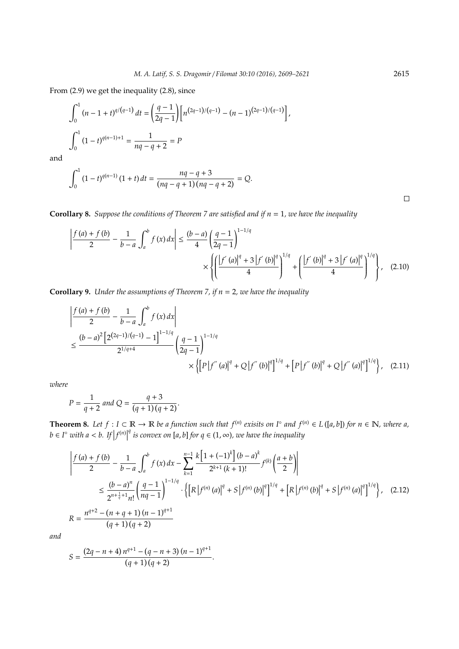From (2.9) we get the inequality (2.8), since

$$
\int_0^1 (n-1+t)^{q/(q-1)} dt = \left(\frac{q-1}{2q-1}\right) \left[ n^{(2q-1)/(q-1)} - (n-1)^{(2q-1)/(q-1)} \right],
$$
  

$$
\int_0^1 (1-t)^{q(n-1)+1} = \frac{1}{nq-q+2} = P
$$

and

$$
\int_0^1 (1-t)^{q(n-1)} (1+t) dt = \frac{nq-q+3}{(nq-q+1)(nq-q+2)} = Q.
$$

**Corollary 8.** *Suppose the conditions of Theorem 7 are satisfied and if n* = 1*, we have the inequality*

$$
\left| \frac{f(a) + f(b)}{2} - \frac{1}{b - a} \int_{a}^{b} f(x) dx \right| \le \frac{(b - a)}{4} \left( \frac{q - 1}{2q - 1} \right)^{1 - 1/q} \times \left\{ \left( \frac{\left| f'(a) \right|^q + 3 \left| f'(b) \right|^q}{4} \right)^{1/q} + \left( \frac{\left| f'(b) \right|^q + 3 \left| f'(a) \right|^q}{4} \right)^{1/q} \right\}, \quad (2.10)
$$

**Corollary 9.** *Under the assumptions of Theorem 7, if n* = 2*, we have the inequality*

$$
\begin{split} &\left|\frac{f\left(a\right)+f\left(b\right)}{2}-\frac{1}{b-a}\int_{a}^{b}f\left(x\right)dx\right| \\ &\leq \frac{(b-a)^{2}\left[2^{(2q-1)/(q-1)}-1\right]^{1-1/q}}{2^{1/q+4}}\left(\frac{q-1}{2q-1}\right)^{1-1/q} \\ &\times\left\{\left[P\left|f^{\prime\prime}\left(a\right)\right|^{q}+Q\left|f^{\prime\prime}\left(b\right)\right|^{q}\right\}^{1/q}+\left[P\left|f^{\prime\prime}\left(b\right)\right|^{q}\right]^{1/q}\right\},\quad(2.11) \end{split}
$$

*where*

$$
P = \frac{1}{q+2} \text{ and } Q = \frac{q+3}{(q+1)(q+2)}.
$$

**Theorem 8.** Let  $f: I \subset \mathbb{R} \to \mathbb{R}$  be a function such that  $f^{(n)}$  exisits on  $I^{\circ}$  and  $f^{(n)} \in L([a, b])$  for  $n \in \mathbb{N}$ , where a,  $b \in I^{\circ}$  *with*  $a < b$ . If  $|f^{(n)}|$ *q* is convex on [*a*, *b*] for  $q$  ∈ (1, ∞), we have the inequality

$$
\begin{split}\n&\left|\frac{f(a) + f(b)}{2} - \frac{1}{b-a} \int_{a}^{b} f(x) \, dx - \sum_{k=1}^{n-1} \frac{k \left[1 + (-1)^{k}\right] (b-a)^{k}}{2^{k+1} \left(k+1\right)!} f^{(k)}\left(\frac{a+b}{2}\right)\right| \\
&\leq \frac{(b-a)^{n}}{2^{n+\frac{1}{q}+1} n!} \left(\frac{q-1}{nq-1}\right)^{1-1/q} \cdot \left\{\left[R \left|f^{(n)}\left(a\right)\right|^{q} + S \left|f^{(n)}\left(b\right)\right|^{q}\right\}^{1/q} + \left[R \left|f^{(n)}\left(b\right)\right|^{q} + S \left|f^{(n)}\left(a\right)\right|^{q}\right]^{1/q}\right\},\n\end{split} \tag{2.12}
$$
\n
$$
R = \frac{n^{q+2} - (n+q+1)(n-1)^{q+1}}{(q+1)(q+2)}
$$

*and*

$$
S = \frac{(2q - n + 4) n^{q+1} - (q - n + 3) (n - 1)^{q+1}}{(q+1) (q+2)}.
$$

 $\Box$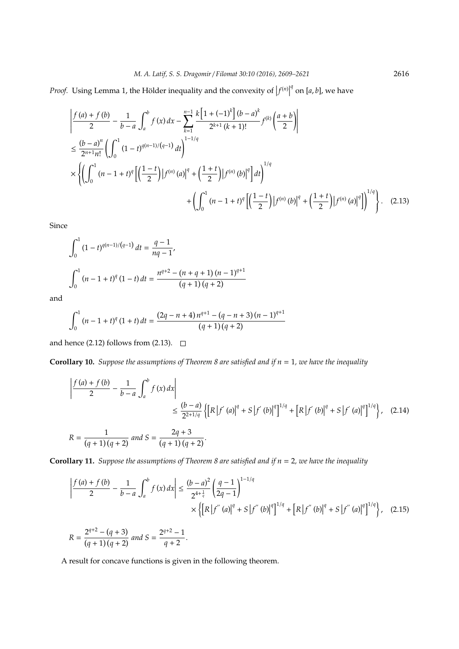*Proof.* Using Lemma 1, the Hölder inequality and the convexity of  $|f^{(n)}|$  $q$ <sup> $q$ </sup> on [*a*, *b*], we have

$$
\begin{split}\n&\left|\frac{f(a)+f(b)}{2}-\frac{1}{b-a}\int_{a}^{b}f(x)dx-\sum_{k=1}^{n-1}\frac{k\left[1+(-1)^{k}\right](b-a)^{k}}{2^{k+1}(k+1)!}f^{(k)}\left(\frac{a+b}{2}\right)\right| \\
&\leq \frac{(b-a)^{n}}{2^{n+1}n!}\left(\int_{0}^{1}(1-t)^{q(n-1)/(q-1)}dt\right)^{1-1/q} \\
&\times\left\{\left(\int_{0}^{1}(n-1+t)^{q}\left[\left(\frac{1-t}{2}\right)|f^{(n)}(a)|^{q}+\left(\frac{1+t}{2}\right)|f^{(n)}(b)|^{q}\right]dt\right)^{1/q} \\
&+\left(\int_{0}^{1}(n-1+t)^{q}\left[\left(\frac{1-t}{2}\right)|f^{(n)}(b)|^{q}+\left(\frac{1+t}{2}\right)|f^{(n)}(a)|^{q}\right]^{1/q}\right\}.\n\end{split} \tag{2.13}
$$

Since

$$
\int_0^1 (1-t)^{q(n-1)/(q-1)} dt = \frac{q-1}{nq-1},
$$
  

$$
\int_0^1 (n-1+t)^q (1-t) dt = \frac{n^{q+2} - (n+q+1)(n-1)^{q+1}}{(q+1)(q+2)}
$$

and

$$
\int_0^1 (n-1+t)^q (1+t) dt = \frac{(2q-n+4)n^{q+1} - (q-n+3)(n-1)^{q+1}}{(q+1)(q+2)}
$$

and hence (2.12) follows from (2.13).  $\square$ 

**Corollary 10.** *Suppose the assumptions of Theorem 8 are satisfied and if n* = 1*, we have the inequality*

$$
\begin{split} \left| \frac{f(a) + f(b)}{2} - \frac{1}{b - a} \int_{a}^{b} f(x) dx \right| \\ &\leq \frac{(b - a)}{2^{2 + 1/q}} \left\{ \left[ R \left| f'(a) \right|^q + S \left| f'(b) \right|^q \right]^{1/q} + \left[ R \left| f'(b) \right|^q + S \left| f'(a) \right|^q \right]^{1/q} \right\}, \quad (2.14) \\ R &= \frac{1}{(q + 1)(q + 2)} \text{ and } S = \frac{2q + 3}{(q + 1)(q + 2)}. \end{split}
$$

**Corollary 11.** *Suppose the assumptions of Theorem 8 are satisfied and if n* = 2*, we have the inequality*

$$
\left| \frac{f(a) + f(b)}{2} - \frac{1}{b - a} \int_{a}^{b} f(x) dx \right| \leq \frac{(b - a)^2}{2^{4 + \frac{1}{q}}} \left( \frac{q - 1}{2q - 1} \right)^{1 - 1/q} \times \left\{ \left[ R \left| f^{(n)}(a) \right|^q + S \left| f^{(n)}(b) \right|^q \right\}^{1/q} + \left[ R \left| f^{(n)}(b) \right|^q + S \left| f^{(n)}(a) \right|^q \right]^{1/q} \right\}, \quad (2.15)
$$

$$
R = \frac{2^{q+2} - (q+3)}{(q+1)(q+2)}
$$
 and  $S = \frac{2^{q+2} - 1}{q+2}$ .

A result for concave functions is given in the following theorem.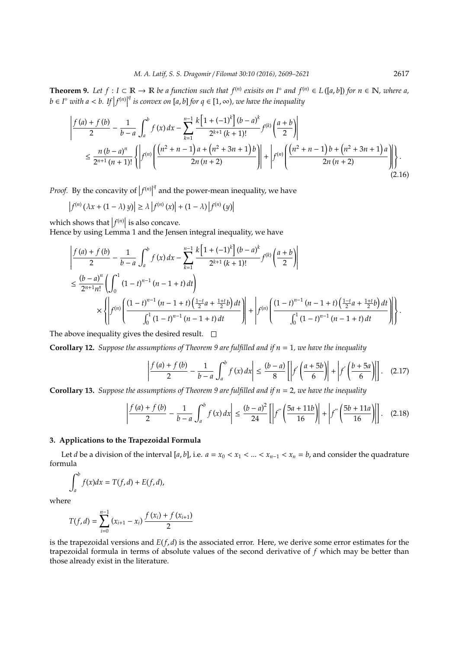**Theorem 9.** Let  $f: I \subset \mathbb{R} \to \mathbb{R}$  be a function such that  $f^{(n)}$  exisits on  $I^{\circ}$  and  $f^{(n)} \in L([a, b])$  for  $n \in \mathbb{N}$ , where a,  $b \in I^{\circ}$  *with*  $a < b$ . If  $|f^{(n)}|$ *q* is convex on [*a*, *b*] *for q* ∈ [1, ∞), we have the inequality

$$
\left| \frac{f(a) + f(b)}{2} - \frac{1}{b-a} \int_{a}^{b} f(x) dx - \sum_{k=1}^{n-1} \frac{k \left[ 1 + (-1)^k \right] (b-a)^k}{2^{k+1} (k+1)!} f^{(k)} \left( \frac{a+b}{2} \right) \right|
$$
  

$$
\leq \frac{n (b-a)^n}{2^{n+1} (n+1)!} \left\{ \left| f^{(n)} \left( \frac{\left( n^2 + n - 1 \right) a + \left( n^2 + 3n + 1 \right) b}{2n (n+2)} \right) \right| + \left| f^{(n)} \left( \frac{\left( n^2 + n - 1 \right) b + \left( n^2 + 3n + 1 \right) a}{2n (n+2)} \right) \right| \right\}.
$$
(2.16)

*Proof.* By the concavity of  $|f^{(n)}|$ *q* and the power-mean inequality, we have

$$
\left|f^{(n)}\left(\lambda x + (1-\lambda) y\right)\right| \geq \lambda \left|f^{(n)}\left(x\right)\right| + (1-\lambda) \left|f^{(n)}\left(y\right)\right|
$$

which shows that  $|f^{(n)}|$  is also concave.

Hence by using Lemma 1 and the Jensen integral inequality, we have

$$
\begin{split}\n&\left|\frac{f(a)+f(b)}{2}-\frac{1}{b-a}\int_{a}^{b}f(x)\,dx-\sum_{k=1}^{n-1}\frac{k\left[1+(-1)^{k}\right](b-a)^{k}}{2^{k+1}(k+1)!}f^{(k)}\left(\frac{a+b}{2}\right)\right| \\
&\leq\frac{(b-a)^{n}}{2^{n+1}n!}\left(\int_{0}^{1}\left(1-t\right)^{n-1}\left(n-1+t\right)dt\right) \\
&\times\left\{\left|f^{(n)}\left(\frac{(1-t)^{n-1}\left(n-1+t\right)\left(\frac{1-t}{2}a+\frac{1+t}{2}b\right)dt}{\int_{0}^{1}\left(1-t\right)^{n-1}\left(n-1+t\right)\right)}\right|+\left|f^{(n)}\left(\frac{(1-t)^{n-1}\left(n-1+t\right)\left(\frac{1-t}{2}a+\frac{1+t}{2}b\right)dt}{\int_{0}^{1}\left(1-t\right)^{n-1}\left(n-1+t\right)dt}\right|\right|\right\}.\n\end{split}
$$

The above inequality gives the desired result.  $\square$ 

**Corollary 12.** *Suppose the assumptions of Theorem 9 are fulfilled and if n* = 1*, we have the inequality*

$$
\left|\frac{f(a)+f(b)}{2}-\frac{1}{b-a}\int_{a}^{b}f(x)dx\right|\leq\frac{(b-a)}{8}\left[\left|f'\left(\frac{a+5b}{6}\right)\right|+\left|f'\left(\frac{b+5a}{6}\right)\right|\right].\quad(2.17)
$$

**Corollary 13.** *Suppose the assumptions of Theorem 9 are fulfilled and if n* = 2*, we have the inequality*

$$
\left| \frac{f(a) + f(b)}{2} - \frac{1}{b - a} \int_{a}^{b} f(x) dx \right| \le \frac{(b - a)^2}{24} \left[ \left| f''\left(\frac{5a + 11b}{16}\right) \right| + \left| f''\left(\frac{5b + 11a}{16}\right) \right| \right].
$$
 (2.18)

### **3. Applications to the Trapezoidal Formula**

Let *d* be a division of the interval [*a*, *b*], i.e.  $a = x_0 < x_1 < ... < x_{n-1} < x_n = b$ , and consider the quadrature formula

$$
\int_a^b f(x)dx = T(f,d) + E(f,d),
$$

where

$$
T(f, d) = \sum_{i=0}^{n-1} (x_{i+1} - x_i) \frac{f(x_i) + f(x_{i+1})}{2}
$$

is the trapezoidal versions and *E*(*f*, *d*) is the associated error. Here, we derive some error estimates for the trapezoidal formula in terms of absolute values of the second derivative of *f* which may be better than those already exist in the literature.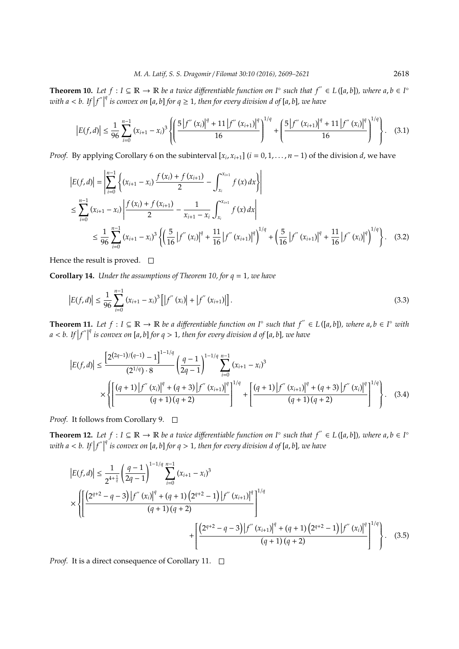**Theorem 10.** Let  $f : I ⊆ ℝ → ℝ$  be a twice differentiable function on  $I^\circ$  such that  $f'' ∈ L([a, b])$ , where  $a, b ∈ I^\circ$ with  $a < b$ . If  $|f''|$ *q is convex on* [*a*, *b*] *for q* ≥ 1*, then for every division d of* [*a*, *b*]*, we have*

$$
\left|E(f,d)\right| \leq \frac{1}{96} \sum_{i=0}^{n-1} \left(x_{i+1} - x_i\right)^3 \left\{ \left( \frac{5 \left|f''\left(x_i\right)\right|^q + 11 \left|f''\left(x_{i+1}\right)\right|^q}{16} \right)^{1/q} + \left( \frac{5 \left|f''\left(x_{i+1}\right)\right|^q + 11 \left|f''\left(x_i\right)\right|^q}{16} \right)^{1/q} \right\}.
$$
 (3.1)

*Proof.* By applying Corollary 6 on the subinterval  $[x_i, x_{i+1}]$  ( $i = 0, 1, ..., n-1$ ) of the division *d*, we have

$$
\begin{split} \left| E(f,d) \right| &= \left| \sum_{i=0}^{n-1} \left\{ (x_{i+1} - x_i) \frac{f(x_i) + f(x_{i+1})}{2} - \int_{x_i}^{x_{i+1}} f(x) \, dx \right\} \right| \\ &\leq \sum_{i=0}^{n-1} \left( x_{i+1} - x_i \right) \left| \frac{f(x_i) + f(x_{i+1})}{2} - \frac{1}{x_{i+1} - x_i} \int_{x_i}^{x_{i+1}} f(x) \, dx \right| \\ &\leq \frac{1}{96} \sum_{i=0}^{n-1} \left( x_{i+1} - x_i \right)^3 \left\{ \left( \frac{5}{16} \left| f''(x_i) \right|^q + \frac{11}{16} \left| f''(x_{i+1}) \right|^q \right)^{1/q} + \left( \frac{5}{16} \left| f''(x_{i+1}) \right|^q + \frac{11}{16} \left| f''(x_i) \right|^q \right)^{1/q} \right\}. \end{split} \tag{3.2}
$$

Hence the result is proved.  $\square$ 

**Corollary 14.** *Under the assumptions of Theorem 10, for q* = 1*, we have*

$$
\left|E(f,d)\right| \le \frac{1}{96} \sum_{i=0}^{n-1} \left(x_{i+1} - x_i\right)^3 \left[ \left|f''\left(x_i\right) \right| + \left|f''\left(x_{i+1}\right) \right| \right].\tag{3.3}
$$

**Theorem 11.** Let  $f: I \subseteq \mathbb{R} \to \mathbb{R}$  be a differentiable function on  $I^{\circ}$  such that  $f'' \in L([a, b])$ , where  $a, b \in I^{\circ}$  with  $a < b$ . If  $|f''|$ *q is convex on* [*a*, *b*] *for q* > 1*, then for every division d of* [*a*, *b*]*, we have*

$$
\left|E(f,d)\right| \leq \frac{\left[2^{(2q-1)/(q-1)}-1\right]^{1-1/q}}{(2^{1/q})\cdot 8} \left(\frac{q-1}{2q-1}\right)^{1-1/q} \sum_{i=0}^{n-1} (x_{i+1}-x_i)^3
$$

$$
\times \left\{\left[\frac{(q+1)\left|f^{''}(x_i)\right|^q + (q+3)\left|f^{''}(x_{i+1})\right|^q\right|^{1/q}}{(q+1)(q+2)} + \left[\frac{(q+1)\left|f^{''}(x_{i+1})\right|^q + (q+3)\left|f^{''}(x_i)\right|^q\right|^{1/q}}{(q+1)(q+2)}\right\}.
$$
 (3.4)

*Proof.* It follows from Corollary 9. □

**Theorem 12.** Let  $f : I ⊆ ℝ → ℝ$  be a twice differentiable function on  $I^\circ$  such that  $f'' ∈ L([a, b])$ , where  $a, b ∈ I^\circ$ with  $a < b$ . If  $|f''|$ *q is convex on* [*a*, *b*] *for q* > 1*, then for every division d of* [*a*, *b*]*, we have*

$$
\left|E(f,d)\right| \leq \frac{1}{2^{4+\frac{1}{q}}} \left(\frac{q-1}{2q-1}\right)^{1-1/q} \sum_{i=0}^{n-1} (x_{i+1} - x_i)^3
$$
  
\$\times \left\{ \left[ \frac{\left(2^{q+2} - q - 3\right) \left|f''\left(x\_i\right)\right|^q + \left(q+1\right) \left(2^{q+2} - 1\right) \left|f''\left(x\_{i+1}\right)\right|^q\right]^{1/q}} \right\} \times \left\{ \left[ \frac{\left(2^{q+2} - q - 3\right) \left|f''\left(x\_{i+1}\right)\right|^q + \left(q+1\right) \left(2^{q+2} - 1\right) \left|f''\left(x\_i\right)\right|^q\right|^{1/q}}{\left(q+1\right) \left(q+2\right)} \right\} \times \left(3.5\right)

*Proof.* It is a direct consequence of Corollary 11. □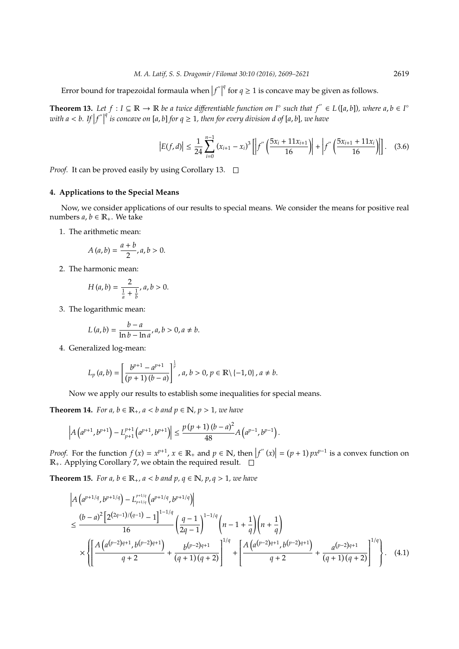Error bound for trapezoidal formaula when  $|f''|$ *q* for  $q \ge 1$  is concave may be given as follows.

**Theorem 13.** Let  $f: I \subseteq \mathbb{R} \to \mathbb{R}$  be a twice differentiable function on  $I$ <sup>∘</sup> such that  $f'' \in L([a, b])$ , where  $a, b \in I^{\circ}$ with  $a < b$ . If  $|f''|$ *q*<sup> $q$ </sup> *is concave on* [*a*, *b*] *for*  $q \geq 1$ , then for every division *d* of [*a*, *b*], we have

$$
\left|E(f,d)\right| \le \frac{1}{24} \sum_{i=0}^{n-1} \left(x_{i+1} - x_i\right)^3 \left[\left|f'\left(\frac{5x_i + 11x_{i+1}}{16}\right)\right| + \left|f'\left(\frac{5x_{i+1} + 11x_i}{16}\right)\right|\right].\tag{3.6}
$$

*Proof.* It can be proved easily by using Corollary 13. □

#### **4. Applications to the Special Means**

Now, we consider applications of our results to special means. We consider the means for positive real numbers  $a, b \in \mathbb{R}_+$ . We take

1. The arithmetic mean:

$$
A(a,b)=\frac{a+b}{2},a,b>0.
$$

2. The harmonic mean:

$$
H(a,b) = \frac{2}{\frac{1}{a} + \frac{1}{b}}, a, b > 0.
$$

3. The logarithmic mean:

$$
L(a,b) = \frac{b-a}{\ln b - \ln a}, a, b > 0, a \neq b.
$$

4. Generalized log-mean:

$$
L_p(a,b) = \left[\frac{b^{p+1} - a^{p+1}}{(p+1)(b-a)}\right]^{\frac{1}{p}}, a, b > 0, p \in \mathbb{R} \setminus \{-1,0\}, a \neq b.
$$

Now we apply our results to establish some inequalities for special means.

**Theorem 14.** *For a, b*  $\in \mathbb{R}_+$ *, a* < *b and*  $p \in \mathbb{N}$ *, p* > 1*, we have* 

$$
\left|A\left(a^{p+1},b^{p+1}\right)-L_{p+1}^{p+1}\left(a^{p+1},b^{p+1}\right)\right|\leq\frac{p\left(p+1\right)\left(b-a\right)^{2}}{48}A\left(a^{p-1},b^{p-1}\right).
$$

*Proof.* For the function  $f(x) = x^{p+1}$ ,  $x \in \mathbb{R}_+$  and  $p \in \mathbb{N}$ , then  $|f''(x)| = (p+1)px^{p-1}$  is a convex function on  $\mathbb{R}_+$ . Applying Corollary 7, we obtain the required result.  $\Box$ 

**Theorem 15.** *For a, b*  $\in \mathbb{R}_+$ *, a* < *b and p,*  $q \in \mathbb{N}$ *, p*,  $q > 1$ *, we have* 

$$
\left| A \left( a^{p+1/q}, b^{p+1/q} \right) - L_{p+1/q}^{p+1/q} \left( a^{p+1/q}, b^{p+1/q} \right) \right|
$$
\n
$$
\leq \frac{(b-a)^2 \left[ 2^{(2q-1)/(q-1)} - 1 \right]^{1-1/q}}{16} \left( \frac{q-1}{2q-1} \right)^{1-1/q} \left( n-1+\frac{1}{q} \right) \left( n+\frac{1}{q} \right)
$$
\n
$$
\times \left\{ \left[ \frac{A \left( a^{(p-2)q+1}, b^{(p-2)q+1} \right)}{q+2} + \frac{b^{(p-2)q+1}}{(q+1)(q+2)} \right]^{1/q} + \left[ \frac{A \left( a^{(p-2)q+1}, b^{(p-2)q+1} \right)}{q+2} + \frac{a^{(p-2)q+1}}{(q+1)(q+2)} \right]^{1/q} \right\}. \quad (4.1)
$$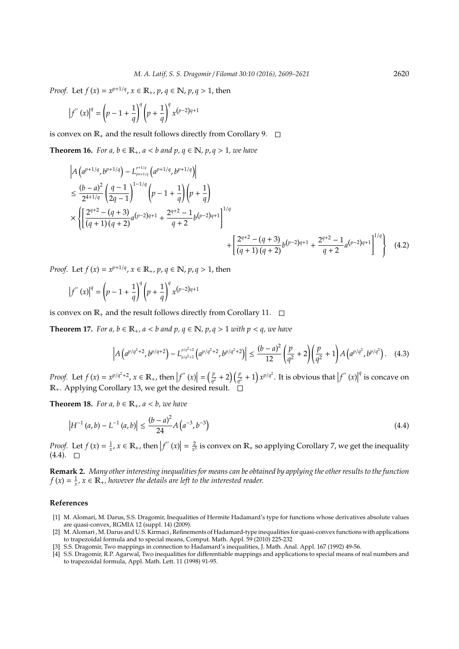*Proof.* Let  $f(x) = x^{p+1/q}$ ,  $x \in \mathbb{R}_+$ ,  $p, q \in \mathbb{N}$ ,  $p, q > 1$ , then

$$
\left|f^{''}(x)\right|^q = \left(p - 1 + \frac{1}{q}\right)^q \left(p + \frac{1}{q}\right)^q x^{(p-2)q+1}
$$

is convex on  $\mathbb{R}_+$  and the result follows directly from Corollary 9.  $\Box$ 

**Theorem 16.** *For a, b*  $\in \mathbb{R}_+$ *, a* < *b and p,*  $q \in \mathbb{N}$ *, p*,  $q > 1$ *, we have* 

$$
\left| A \left( a^{p+1/q}, b^{p+1/q} \right) - L_{pn+1/q}^{p+1/q} \left( a^{p+1/q}, b^{p+1/q} \right) \right|
$$
\n
$$
\leq \frac{(b-a)^2}{2^{4+1/q}} \left( \frac{q-1}{2q-1} \right)^{1-1/q} \left( p-1 + \frac{1}{q} \right) \left( p + \frac{1}{q} \right)
$$
\n
$$
\times \left\{ \left[ \frac{2^{q+2} - (q+3)}{(q+1)(q+2)} a^{(p-2)q+1} + \frac{2^{q+2} - 1}{q+2} b^{(p-2)q+1} \right]^{1/q} + \left[ \frac{2^{q+2} - (q+3)}{(q+1)(q+2)} b^{(p-2)q+1} + \frac{2^{q+2} - 1}{q+2} a^{(p-2)q+1} \right]^{1/q} \right\} \quad (4.2)
$$

*Proof.* Let  $f(x) = x^{p+1/q}, x \in \mathbb{R}_+, p, q \in \mathbb{N}, p, q > 1$ , then

$$
\left|f^{''}(x)\right|^q = \left(p - 1 + \frac{1}{q}\right)^q \left(p + \frac{1}{q}\right)^q x^{(p-2)q+1}
$$

is convex on  $\mathbb{R}_+$  and the result follows directly from Corollary 11.  $\Box$ 

**Theorem 17.** *For a, b*  $\in \mathbb{R}_+$ *, a* < *b and p, q*  $\in \mathbb{N}$ *, p, q* > 1 *with p* < *q, we have* 

$$
\left| A\left(a^{p/q^2+2}, b^{p/q+2}\right) - L_{p/q^2+2}^{p/q^2+2} \left(a^{p/q^2+2}, b^{p/q^2+2}\right) \right| \le \frac{(b-a)^2}{12} \left(\frac{p}{q^2} + 2\right) \left(\frac{p}{q^2} + 1\right) A\left(a^{p/q^2}, b^{p/q^2}\right). \tag{4.3}
$$

*Proof.* Let  $f(x) = x^{p/q^2+2}$ ,  $x \in \mathbb{R}_+$ , then  $|f''(x)| = \left(\frac{p}{q^2}\right)$  $\frac{p}{q^2} + 2\left(\frac{p}{q^2} + 1\right) x^{p/q^2}$ . It is obvious that  $|f''(x)|$ *q* is concave on R+. Applying Corollary 13, we get the desired result.

**Theorem 18.** *For a, b*  $\in \mathbb{R}_+$ *, a* < *b, we have* 

$$
\left|H^{-1}(a,b) - L^{-1}(a,b)\right| \le \frac{(b-a)^2}{24} A\left(a^{-3}, b^{-3}\right)
$$
\n(4.4)

*Proof.* Let  $f(x) = \frac{1}{x}$ ,  $x \in \mathbb{R}_+$ , then  $|f''(x)| = \frac{2}{x^3}$  is convex on  $\mathbb{R}_+$  so applying Corollary 7, we get the inequality  $(4.4)$ .  $\Box$ 

**Remark 2.** *Many other interesting inequalities for means can be obtained by applying the other results to the function*  $f(x) = \frac{1}{x}$ ,  $x \in \mathbb{R}_+$ , however the details are left to the interested reader.

#### **References**

- [1] M. Alomari, M. Darus, S.S. Dragomir, Inequalities of Hermite Hadamard's type for functions whose derivatives absolute values are quasi-convex, RGMIA 12 (suppl. 14) (2009).
- [2] M. Alomari , M. Darus and U.S. Kirmaci , Refinements of Hadamard-type inequalities for quasi-convex functions with applications to trapezoidal formula and to special means, Comput. Math. Appl. 59 (2010) 225-232
- [3] S.S. Dragomir, Two mappings in connection to Hadamard's inequalities, J. Math. Anal. Appl. 167 (1992) 49-56.
- [4] S.S. Dragomir, R.P. Agarwal, Two inequalities for differentiable mappings and applications to special means of real numbers and to trapezoidal formula, Appl. Math. Lett. 11 (1998) 91-95.